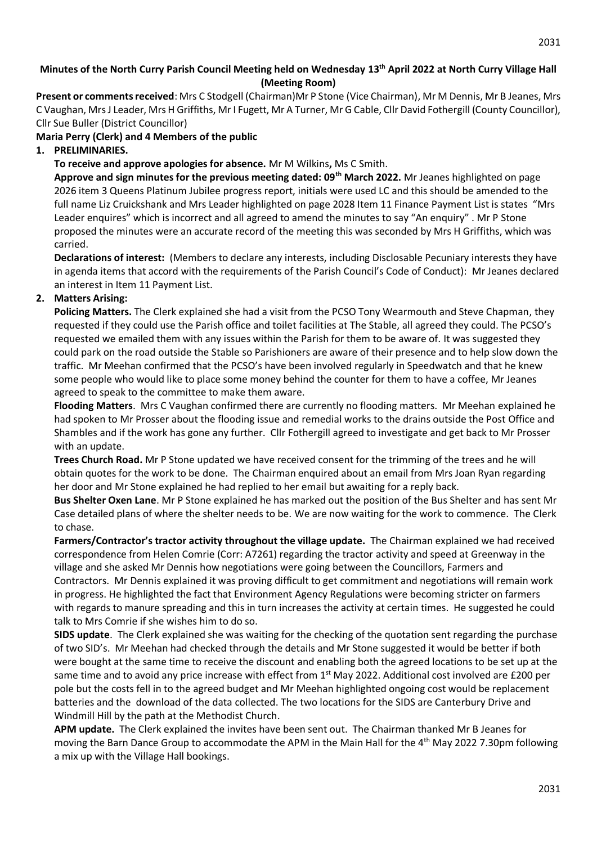## **Minutes of the North Curry Parish Council Meeting held on Wednesday 13th April 2022 at North Curry Village Hall (Meeting Room)**

**Present or comments received**: Mrs C Stodgell (Chairman)Mr P Stone (Vice Chairman), Mr M Dennis, Mr B Jeanes, Mrs C Vaughan, Mrs J Leader, Mrs H Griffiths, Mr I Fugett, Mr A Turner, Mr G Cable, Cllr David Fothergill (County Councillor), Cllr Sue Buller (District Councillor)

### **Maria Perry (Clerk) and 4 Members of the public**

### **1. PRELIMINARIES.**

**To receive and approve apologies for absence.** Mr M Wilkins**,** Ms C Smith.

**Approve and sign minutes for the previous meeting dated: 09th March 2022.** Mr Jeanes highlighted on page 2026 item 3 Queens Platinum Jubilee progress report, initials were used LC and this should be amended to the full name Liz Cruickshank and Mrs Leader highlighted on page 2028 Item 11 Finance Payment List is states "Mrs Leader enquires" which is incorrect and all agreed to amend the minutes to say "An enquiry" . Mr P Stone proposed the minutes were an accurate record of the meeting this was seconded by Mrs H Griffiths, which was carried.

**Declarations of interest:** (Members to declare any interests, including Disclosable Pecuniary interests they have in agenda items that accord with the requirements of the Parish Council's Code of Conduct): Mr Jeanes declared an interest in Item 11 Payment List.

## **2. Matters Arising:**

**Policing Matters.** The Clerk explained she had a visit from the PCSO Tony Wearmouth and Steve Chapman, they requested if they could use the Parish office and toilet facilities at The Stable, all agreed they could. The PCSO's requested we emailed them with any issues within the Parish for them to be aware of. It was suggested they could park on the road outside the Stable so Parishioners are aware of their presence and to help slow down the traffic. Mr Meehan confirmed that the PCSO's have been involved regularly in Speedwatch and that he knew some people who would like to place some money behind the counter for them to have a coffee, Mr Jeanes agreed to speak to the committee to make them aware.

**Flooding Matters**. Mrs C Vaughan confirmed there are currently no flooding matters. Mr Meehan explained he had spoken to Mr Prosser about the flooding issue and remedial works to the drains outside the Post Office and Shambles and if the work has gone any further. Cllr Fothergill agreed to investigate and get back to Mr Prosser with an update.

**Trees Church Road.** Mr P Stone updated we have received consent for the trimming of the trees and he will obtain quotes for the work to be done. The Chairman enquired about an email from Mrs Joan Ryan regarding her door and Mr Stone explained he had replied to her email but awaiting for a reply back.

**Bus Shelter Oxen Lane**. Mr P Stone explained he has marked out the position of the Bus Shelter and has sent Mr Case detailed plans of where the shelter needs to be. We are now waiting for the work to commence. The Clerk to chase.

**Farmers/Contractor's tractor activity throughout the village update.** The Chairman explained we had received correspondence from Helen Comrie (Corr: A7261) regarding the tractor activity and speed at Greenway in the village and she asked Mr Dennis how negotiations were going between the Councillors, Farmers and Contractors. Mr Dennis explained it was proving difficult to get commitment and negotiations will remain work in progress. He highlighted the fact that Environment Agency Regulations were becoming stricter on farmers with regards to manure spreading and this in turn increases the activity at certain times. He suggested he could talk to Mrs Comrie if she wishes him to do so.

**SIDS update**. The Clerk explained she was waiting for the checking of the quotation sent regarding the purchase of two SID's. Mr Meehan had checked through the details and Mr Stone suggested it would be better if both were bought at the same time to receive the discount and enabling both the agreed locations to be set up at the same time and to avoid any price increase with effect from 1<sup>st</sup> May 2022. Additional cost involved are £200 per pole but the costs fell in to the agreed budget and Mr Meehan highlighted ongoing cost would be replacement batteries and the download of the data collected. The two locations for the SIDS are Canterbury Drive and Windmill Hill by the path at the Methodist Church.

**APM update.** The Clerk explained the invites have been sent out. The Chairman thanked Mr B Jeanes for moving the Barn Dance Group to accommodate the APM in the Main Hall for the 4th May 2022 7.30pm following a mix up with the Village Hall bookings.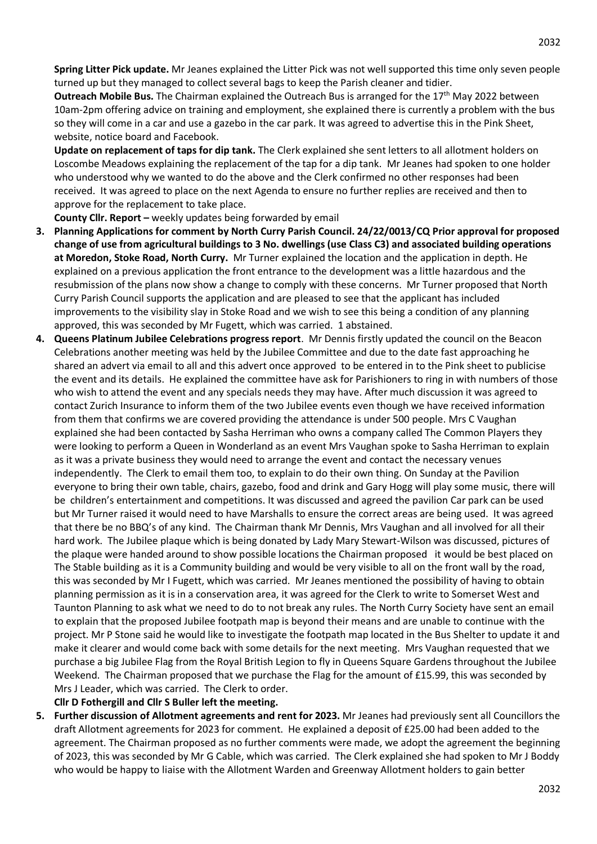**Spring Litter Pick update.** Mr Jeanes explained the Litter Pick was not well supported this time only seven people turned up but they managed to collect several bags to keep the Parish cleaner and tidier.

**Outreach Mobile Bus.** The Chairman explained the Outreach Bus is arranged for the 17<sup>th</sup> May 2022 between 10am-2pm offering advice on training and employment, she explained there is currently a problem with the bus so they will come in a car and use a gazebo in the car park. It was agreed to advertise this in the Pink Sheet, website, notice board and Facebook.

**Update on replacement of taps for dip tank.** The Clerk explained she sent letters to all allotment holders on Loscombe Meadows explaining the replacement of the tap for a dip tank. Mr Jeanes had spoken to one holder who understood why we wanted to do the above and the Clerk confirmed no other responses had been received. It was agreed to place on the next Agenda to ensure no further replies are received and then to approve for the replacement to take place.

**County Cllr. Report –** weekly updates being forwarded by email

- **3. Planning Applications for comment by North Curry Parish Council. 24/22/0013/CQ Prior approval for proposed change of use from agricultural buildings to 3 No. dwellings (use Class C3) and associated building operations at Moredon, Stoke Road, North Curry.** Mr Turner explained the location and the application in depth. He explained on a previous application the front entrance to the development was a little hazardous and the resubmission of the plans now show a change to comply with these concerns. Mr Turner proposed that North Curry Parish Council supports the application and are pleased to see that the applicant has included improvements to the visibility slay in Stoke Road and we wish to see this being a condition of any planning approved, this was seconded by Mr Fugett, which was carried. 1 abstained.
- **4. Queens Platinum Jubilee Celebrations progress report**. Mr Dennis firstly updated the council on the Beacon Celebrations another meeting was held by the Jubilee Committee and due to the date fast approaching he shared an advert via email to all and this advert once approved to be entered in to the Pink sheet to publicise the event and its details. He explained the committee have ask for Parishioners to ring in with numbers of those who wish to attend the event and any specials needs they may have. After much discussion it was agreed to contact Zurich Insurance to inform them of the two Jubilee events even though we have received information from them that confirms we are covered providing the attendance is under 500 people. Mrs C Vaughan explained she had been contacted by Sasha Herriman who owns a company called The Common Players they were looking to perform a Queen in Wonderland as an event Mrs Vaughan spoke to Sasha Herriman to explain as it was a private business they would need to arrange the event and contact the necessary venues independently. The Clerk to email them too, to explain to do their own thing. On Sunday at the Pavilion everyone to bring their own table, chairs, gazebo, food and drink and Gary Hogg will play some music, there will be children's entertainment and competitions. It was discussed and agreed the pavilion Car park can be used but Mr Turner raised it would need to have Marshalls to ensure the correct areas are being used. It was agreed that there be no BBQ's of any kind. The Chairman thank Mr Dennis, Mrs Vaughan and all involved for all their hard work. The Jubilee plaque which is being donated by Lady Mary Stewart-Wilson was discussed, pictures of the plaque were handed around to show possible locations the Chairman proposed it would be best placed on The Stable building as it is a Community building and would be very visible to all on the front wall by the road, this was seconded by Mr I Fugett, which was carried. Mr Jeanes mentioned the possibility of having to obtain planning permission as it is in a conservation area, it was agreed for the Clerk to write to Somerset West and Taunton Planning to ask what we need to do to not break any rules. The North Curry Society have sent an email to explain that the proposed Jubilee footpath map is beyond their means and are unable to continue with the project. Mr P Stone said he would like to investigate the footpath map located in the Bus Shelter to update it and make it clearer and would come back with some details for the next meeting. Mrs Vaughan requested that we purchase a big Jubilee Flag from the Royal British Legion to fly in Queens Square Gardens throughout the Jubilee Weekend. The Chairman proposed that we purchase the Flag for the amount of £15.99, this was seconded by Mrs J Leader, which was carried. The Clerk to order.

**Cllr D Fothergill and Cllr S Buller left the meeting.**

**5. Further discussion of Allotment agreements and rent for 2023.** Mr Jeanes had previously sent all Councillors the draft Allotment agreements for 2023 for comment. He explained a deposit of £25.00 had been added to the agreement. The Chairman proposed as no further comments were made, we adopt the agreement the beginning of 2023, this was seconded by Mr G Cable, which was carried. The Clerk explained she had spoken to Mr J Boddy who would be happy to liaise with the Allotment Warden and Greenway Allotment holders to gain better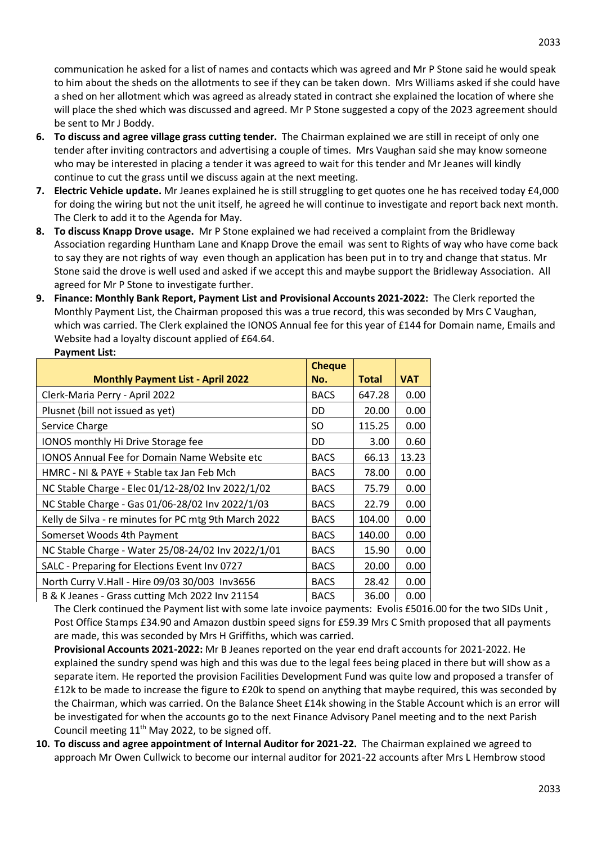communication he asked for a list of names and contacts which was agreed and Mr P Stone said he would speak to him about the sheds on the allotments to see if they can be taken down. Mrs Williams asked if she could have a shed on her allotment which was agreed as already stated in contract she explained the location of where she will place the shed which was discussed and agreed. Mr P Stone suggested a copy of the 2023 agreement should be sent to Mr J Boddy.

- **6. To discuss and agree village grass cutting tender.** The Chairman explained we are still in receipt of only one tender after inviting contractors and advertising a couple of times. Mrs Vaughan said she may know someone who may be interested in placing a tender it was agreed to wait for this tender and Mr Jeanes will kindly continue to cut the grass until we discuss again at the next meeting.
- **7. Electric Vehicle update.** Mr Jeanes explained he is still struggling to get quotes one he has received today £4,000 for doing the wiring but not the unit itself, he agreed he will continue to investigate and report back next month. The Clerk to add it to the Agenda for May.
- **8. To discuss Knapp Drove usage.** Mr P Stone explained we had received a complaint from the Bridleway Association regarding Huntham Lane and Knapp Drove the email was sent to Rights of way who have come back to say they are not rights of way even though an application has been put in to try and change that status. Mr Stone said the drove is well used and asked if we accept this and maybe support the Bridleway Association. All agreed for Mr P Stone to investigate further.
- **9. Finance: Monthly Bank Report, Payment List and Provisional Accounts 2021-2022:** The Clerk reported the Monthly Payment List, the Chairman proposed this was a true record, this was seconded by Mrs C Vaughan, which was carried. The Clerk explained the IONOS Annual fee for this year of £144 for Domain name, Emails and Website had a loyalty discount applied of £64.64. **Payment List:**

|                                                       | <b>Cheque</b> |              |            |
|-------------------------------------------------------|---------------|--------------|------------|
| <b>Monthly Payment List - April 2022</b>              | No.           | <b>Total</b> | <b>VAT</b> |
| Clerk-Maria Perry - April 2022                        | <b>BACS</b>   | 647.28       | 0.00       |
| Plusnet (bill not issued as yet)                      | DD            | 20.00        | 0.00       |
| Service Charge                                        | SO            | 115.25       | 0.00       |
| IONOS monthly Hi Drive Storage fee                    | DD            | 3.00         | 0.60       |
| <b>IONOS Annual Fee for Domain Name Website etc</b>   | <b>BACS</b>   | 66.13        | 13.23      |
| HMRC - NI & PAYE + Stable tax Jan Feb Mch             | <b>BACS</b>   | 78.00        | 0.00       |
| NC Stable Charge - Elec 01/12-28/02 Inv 2022/1/02     | <b>BACS</b>   | 75.79        | 0.00       |
| NC Stable Charge - Gas 01/06-28/02 Inv 2022/1/03      | <b>BACS</b>   | 22.79        | 0.00       |
| Kelly de Silva - re minutes for PC mtg 9th March 2022 | <b>BACS</b>   | 104.00       | 0.00       |
| Somerset Woods 4th Payment                            | <b>BACS</b>   | 140.00       | 0.00       |
| NC Stable Charge - Water 25/08-24/02 Inv 2022/1/01    | <b>BACS</b>   | 15.90        | 0.00       |
| SALC - Preparing for Elections Event Inv 0727         | <b>BACS</b>   | 20.00        | 0.00       |
| North Curry V.Hall - Hire 09/03 30/003 Inv3656        | <b>BACS</b>   | 28.42        | 0.00       |
| B & K Jeanes - Grass cutting Mch 2022 Inv 21154       | <b>BACS</b>   | 36.00        | 0.00       |

The Clerk continued the Payment list with some late invoice payments: Evolis £5016.00 for the two SIDs Unit , Post Office Stamps £34.90 and Amazon dustbin speed signs for £59.39 Mrs C Smith proposed that all payments are made, this was seconded by Mrs H Griffiths, which was carried.

**Provisional Accounts 2021-2022:** Mr B Jeanes reported on the year end draft accounts for 2021-2022. He explained the sundry spend was high and this was due to the legal fees being placed in there but will show as a separate item. He reported the provision Facilities Development Fund was quite low and proposed a transfer of £12k to be made to increase the figure to £20k to spend on anything that maybe required, this was seconded by the Chairman, which was carried. On the Balance Sheet £14k showing in the Stable Account which is an error will be investigated for when the accounts go to the next Finance Advisory Panel meeting and to the next Parish Council meeting  $11<sup>th</sup>$  May 2022, to be signed off.

**10. To discuss and agree appointment of Internal Auditor for 2021-22.** The Chairman explained we agreed to approach Mr Owen Cullwick to become our internal auditor for 2021-22 accounts after Mrs L Hembrow stood